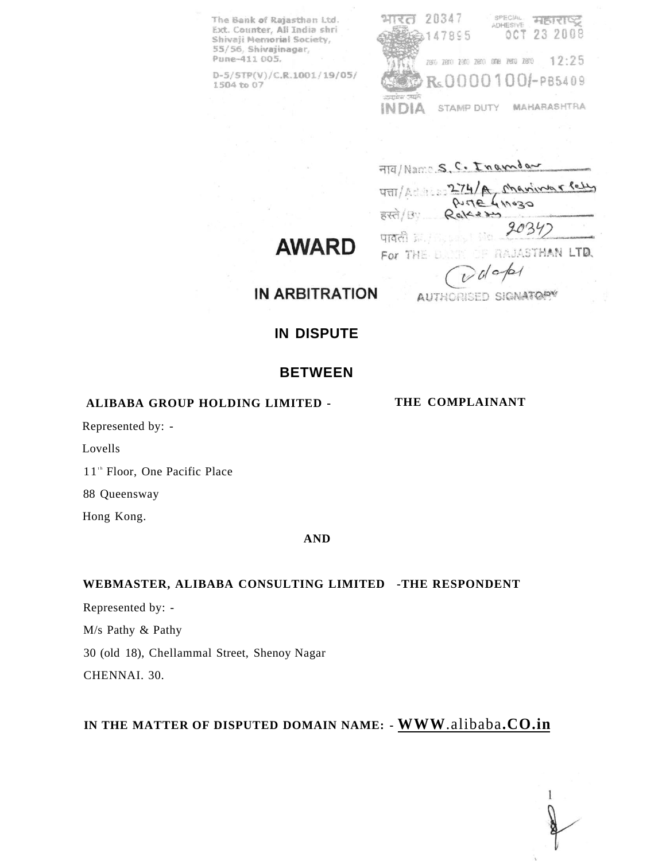The Bank of Rajasthan Ltd. Ext. Counter, All India shri Shivaji Memorial Society, 55/56, Shivajinagar, Pune-411 005.

 $D-5/STP(V)/C.R.1001/19/05/$ 1504 to 07

SPECIAL HEITING भारत 20347 OCT 23 2008 147895 280 280 280 280 380 390 280 3 12:25 R<sub>s</sub>0000100*1*-PB5409 STAMP DUTY **MAHARASHTRA** INDIA

FITE/Name S. C. Ingendar

Manimar Peter  $274/R$ पत्ता PUTE 411030  $R_0$ 14230 हस्ते / Bv 20347 पावली इतिहास RAJASTHAN LTD. For THE B

**AWARD** 

 $d$ api AUTHORISED SIGNATORY

**IN ARBITRATION** 

## **IN DISPUTE**

## **BETWEEN**

### **ALIBABA GROUP HOLDING LIMITED -**

Represented by: -

Lovells

11<sup>th</sup> Floor, One Pacific Place

88 Queensway

Hong Kong.

#### **AND**

### **WEBMASTER, ALIBABA CONSULTING LIMITED -THE RESPONDENT**

Represented by: - M/s Pathy & Pathy 30 (old 18), Chellammal Street, Shenoy Nagar CHENNAI. 30.

## **IN THE MATTER OF DISPUTED DOMAIN NAME: - WWW**[.alibaba](http://WWW.aMbaba.CO.in)**.CO.in**

**THE COMPLAINANT**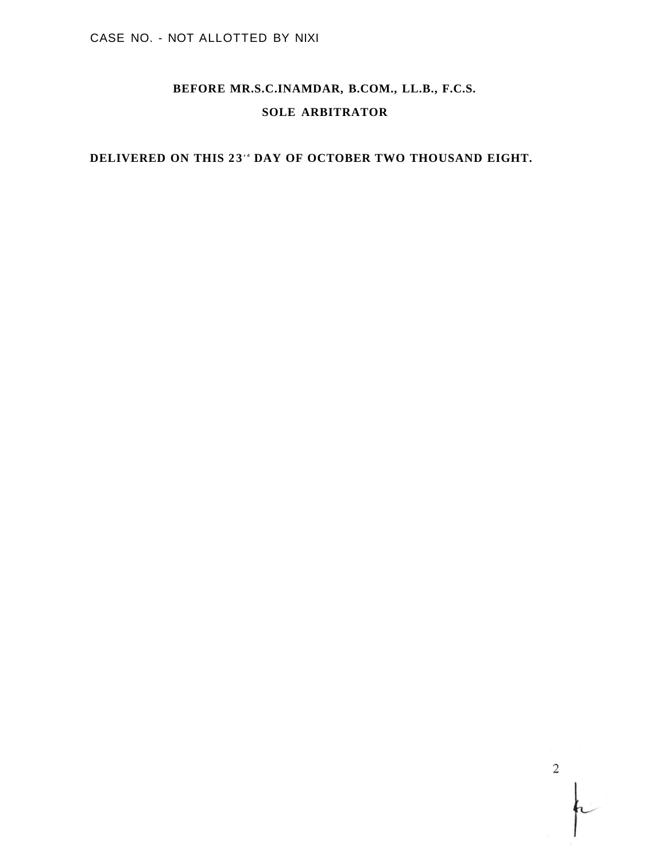## **BEFORE MR.S.C.INAMDAR, B.COM., LL.B., F.C.S. SOLE ARBITRATOR**

## **DELIVERED ON THIS 23 <sup>r</sup> <sup>d</sup> DAY OF OCTOBER TWO THOUSAND EIGHT.**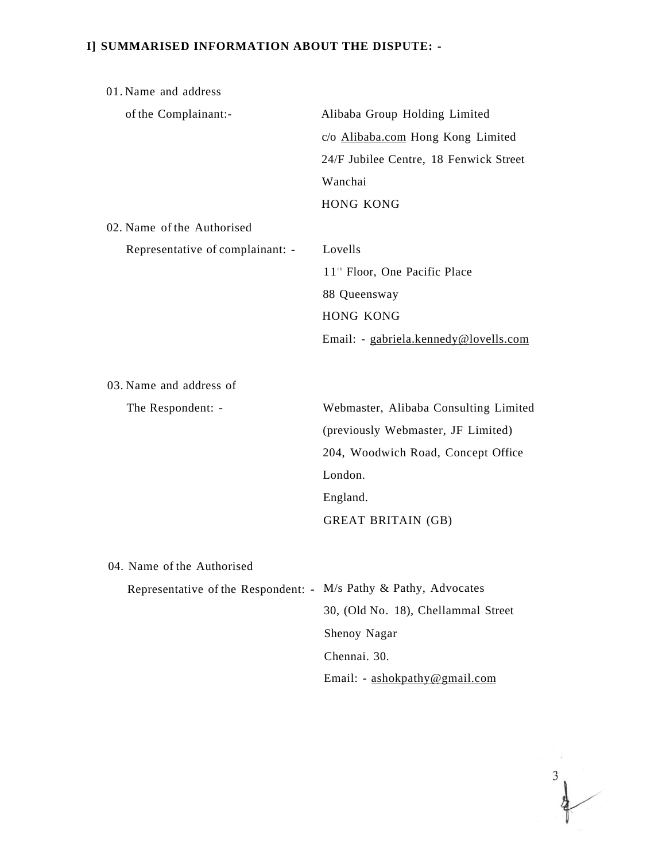## **I] SUMMARISED INFORMATION ABOUT THE DISPUTE: -**

| 01. Name and address                                             |                                           |  |
|------------------------------------------------------------------|-------------------------------------------|--|
| of the Complainant:-                                             | Alibaba Group Holding Limited             |  |
|                                                                  | c/o Alibaba.com Hong Kong Limited         |  |
|                                                                  | 24/F Jubilee Centre, 18 Fenwick Street    |  |
|                                                                  | Wanchai                                   |  |
|                                                                  | <b>HONG KONG</b>                          |  |
| 02. Name of the Authorised                                       |                                           |  |
| Representative of complainant: -                                 | Lovells                                   |  |
|                                                                  | 11 <sup>th</sup> Floor, One Pacific Place |  |
|                                                                  | 88 Queensway                              |  |
|                                                                  | <b>HONG KONG</b>                          |  |
|                                                                  | Email: - gabriela.kennedy@lovells.com     |  |
|                                                                  |                                           |  |
| 03. Name and address of                                          |                                           |  |
| The Respondent: -                                                | Webmaster, Alibaba Consulting Limited     |  |
|                                                                  | (previously Webmaster, JF Limited)        |  |
|                                                                  | 204, Woodwich Road, Concept Office        |  |
|                                                                  | London.                                   |  |
|                                                                  | England.                                  |  |
|                                                                  | <b>GREAT BRITAIN (GB)</b>                 |  |
|                                                                  |                                           |  |
| 04. Name of the Authorised                                       |                                           |  |
| Representative of the Respondent: - M/s Pathy & Pathy, Advocates |                                           |  |
|                                                                  | 30, (Old No. 18), Chellammal Street       |  |
|                                                                  | Shenoy Nagar                              |  |
|                                                                  | Chennai. 30.                              |  |
|                                                                  | Email: - ashokpathy@gmail.com             |  |

 $\frac{3}{4}$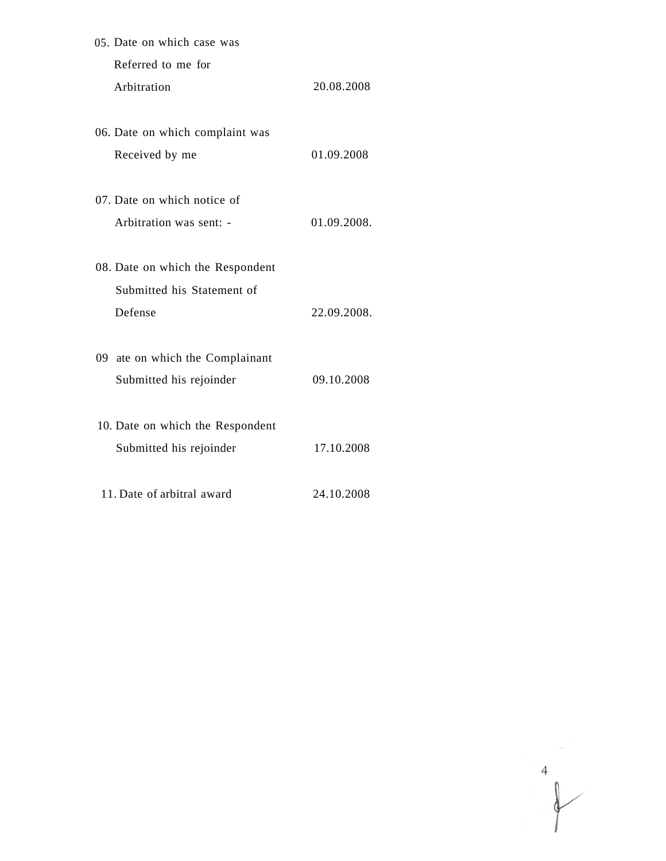| 05. Date on which case was  |                                  |             |
|-----------------------------|----------------------------------|-------------|
| Referred to me for          |                                  |             |
| Arbitration                 |                                  | 20.08.2008  |
|                             |                                  |             |
|                             | 06. Date on which complaint was  |             |
| Received by me              |                                  | 01.09.2008  |
| 07. Date on which notice of |                                  |             |
|                             | Arbitration was sent: -          | 01.09.2008. |
|                             | 08. Date on which the Respondent |             |
|                             | Submitted his Statement of       |             |
| Defense                     |                                  | 22.09.2008. |
|                             | 09 ate on which the Complainant  |             |
|                             | Submitted his rejoinder          | 09.10.2008  |
|                             | 10. Date on which the Respondent |             |
|                             | Submitted his rejoinder          | 17.10.2008  |
| 11. Date of arbitral award  |                                  | 24.10.2008  |

 $\begin{picture}(120,15) \put(0,0){\line(1,0){155}} \put(15,0){\line(1,0){155}} \put(15,0){\line(1,0){155}} \put(15,0){\line(1,0){155}} \put(15,0){\line(1,0){155}} \put(15,0){\line(1,0){155}} \put(15,0){\line(1,0){155}} \put(15,0){\line(1,0){155}} \put(15,0){\line(1,0){155}} \put(15,0){\line(1,0){155}} \put(15,0){\line(1,0){155}}$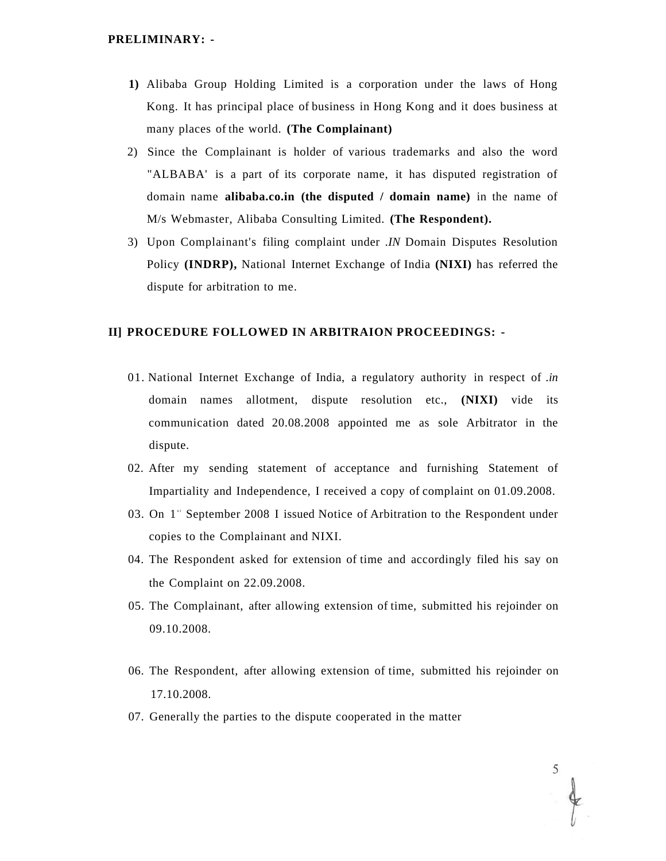#### **PRELIMINARY: -**

- **1)** Alibaba Group Holding Limited is a corporation under the laws of Hong Kong. It has principal place of business in Hong Kong and it does business at many places of the world. **(The Complainant)**
- 2) Since the Complainant is holder of various trademarks and also the word "ALBABA' is a part of its corporate name, it has disputed registration of domain name **alibaba.co.in (the disputed / domain name)** in the name of M/s Webmaster, Alibaba Consulting Limited. **(The Respondent).**
- 3) Upon Complainant's filing complaint under *.IN* Domain Disputes Resolution Policy **(INDRP),** National Internet Exchange of India **(NIXI)** has referred the dispute for arbitration to me.

## **II] PROCEDURE FOLLOWED IN ARBITRAION PROCEEDINGS: -**

- 01. National Internet Exchange of India, a regulatory authority in respect of *.in*  domain names allotment, dispute resolution etc., **(NIXI)** vide its communication dated 20.08.2008 appointed me as sole Arbitrator in the dispute.
- 02. After my sending statement of acceptance and furnishing Statement of Impartiality and Independence, I received a copy of complaint on 01.09.2008.
- 03. On 1<sup>\*</sup> September 2008 I issued Notice of Arbitration to the Respondent under copies to the Complainant and NIXI.
- 04. The Respondent asked for extension of time and accordingly filed his say on the Complaint on 22.09.2008.
- 05. The Complainant, after allowing extension of time, submitted his rejoinder on 09.10.2008.
- 06. The Respondent, after allowing extension of time, submitted his rejoinder on 17.10.2008.
- 07. Generally the parties to the dispute cooperated in the matter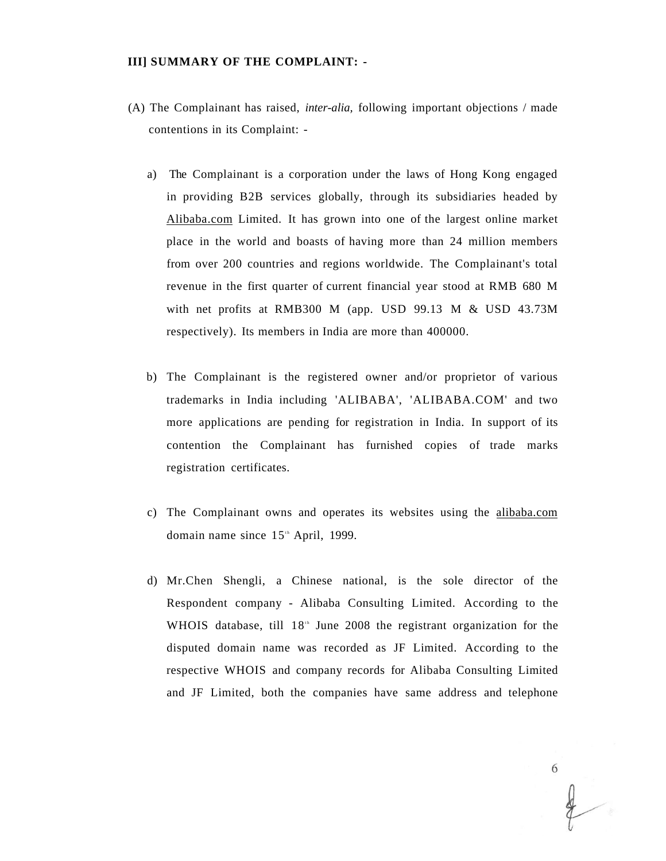#### **III] SUMMARY OF THE COMPLAINT: -**

- (A) The Complainant has raised, *inter-alia,* following important objections / made contentions in its Complaint:
	- a) The Complainant is a corporation under the laws of Hong Kong engaged in providing B2B services globally, through its subsidiaries headed by [Alibaba.com](http://Alibaba.com) Limited. It has grown into one of the largest online market place in the world and boasts of having more than 24 million members from over 200 countries and regions worldwide. The Complainant's total revenue in the first quarter of current financial year stood at RMB 680 M with net profits at RMB300 M (app. USD 99.13 M & USD 43.73M respectively). Its members in India are more than 400000.
	- b) The Complainant is the registered owner and/or proprietor of various trademarks in India including 'ALIBABA', 'ALIBABA.COM' and two more applications are pending for registration in India. In support of its contention the Complainant has furnished copies of trade marks registration certificates.
	- c) The Complainant owns and operates its websites using the [alibaba.com](http://alibaba.com)  domain name since  $15^{\text{th}}$  April, 1999.
	- d) Mr.Chen Shengli, a Chinese national, is the sole director of the Respondent company - Alibaba Consulting Limited. According to the WHOIS database, till  $18<sup>th</sup>$  June 2008 the registrant organization for the disputed domain name was recorded as JF Limited. According to the respective WHOIS and company records for Alibaba Consulting Limited and JF Limited, both the companies have same address and telephone

6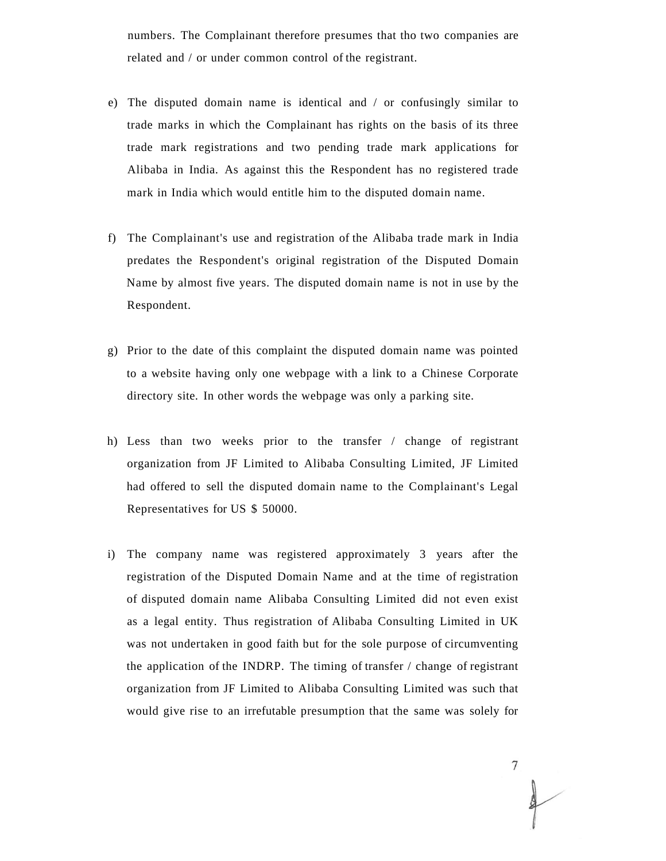numbers. The Complainant therefore presumes that tho two companies are related and / or under common control of the registrant.

- e) The disputed domain name is identical and / or confusingly similar to trade marks in which the Complainant has rights on the basis of its three trade mark registrations and two pending trade mark applications for Alibaba in India. As against this the Respondent has no registered trade mark in India which would entitle him to the disputed domain name.
- f) The Complainant's use and registration of the Alibaba trade mark in India predates the Respondent's original registration of the Disputed Domain Name by almost five years. The disputed domain name is not in use by the Respondent.
- g) Prior to the date of this complaint the disputed domain name was pointed to a website having only one webpage with a link to a Chinese Corporate directory site. In other words the webpage was only a parking site.
- h) Less than two weeks prior to the transfer / change of registrant organization from JF Limited to Alibaba Consulting Limited, JF Limited had offered to sell the disputed domain name to the Complainant's Legal Representatives for US \$ 50000.
- i) The company name was registered approximately 3 years after the registration of the Disputed Domain Name and at the time of registration of disputed domain name Alibaba Consulting Limited did not even exist as a legal entity. Thus registration of Alibaba Consulting Limited in UK was not undertaken in good faith but for the sole purpose of circumventing the application of the INDRP. The timing of transfer / change of registrant organization from JF Limited to Alibaba Consulting Limited was such that would give rise to an irrefutable presumption that the same was solely for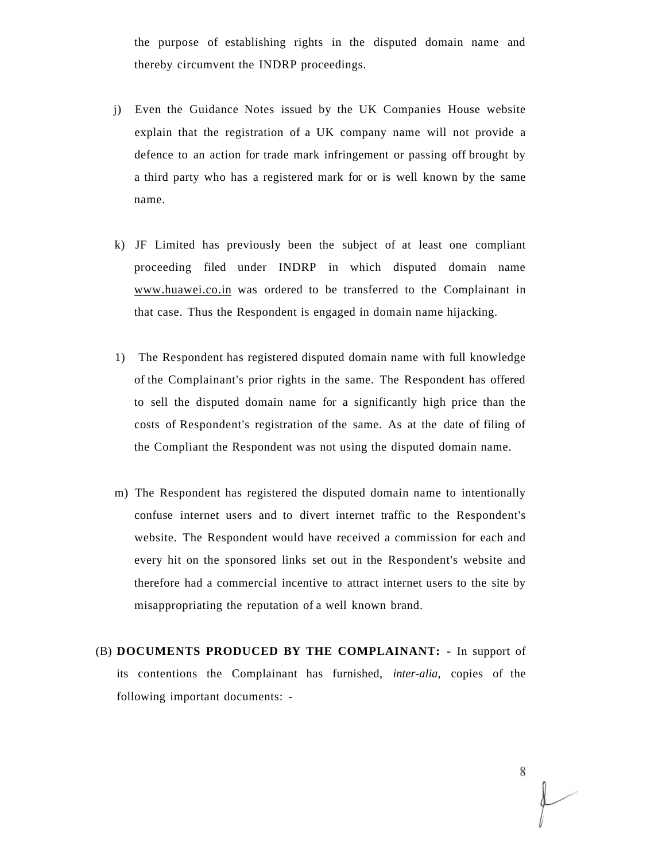the purpose of establishing rights in the disputed domain name and thereby circumvent the INDRP proceedings.

- j) Even the Guidance Notes issued by the UK Companies House website explain that the registration of a UK company name will not provide a defence to an action for trade mark infringement or passing off brought by a third party who has a registered mark for or is well known by the same name.
- k) JF Limited has previously been the subject of at least one compliant proceeding filed under INDRP in which disputed domain name [www.huawei.co.in w](http://www.huawei.co.in)as ordered to be transferred to the Complainant in that case. Thus the Respondent is engaged in domain name hijacking.
- 1) The Respondent has registered disputed domain name with full knowledge of the Complainant's prior rights in the same. The Respondent has offered to sell the disputed domain name for a significantly high price than the costs of Respondent's registration of the same. As at the date of filing of the Compliant the Respondent was not using the disputed domain name.
- m) The Respondent has registered the disputed domain name to intentionally confuse internet users and to divert internet traffic to the Respondent's website. The Respondent would have received a commission for each and every hit on the sponsored links set out in the Respondent's website and therefore had a commercial incentive to attract internet users to the site by misappropriating the reputation of a well known brand.
- (B) **DOCUMENTS PRODUCED BY THE COMPLAINANT:** In support of its contentions the Complainant has furnished, *inter-alia,* copies of the following important documents: -

8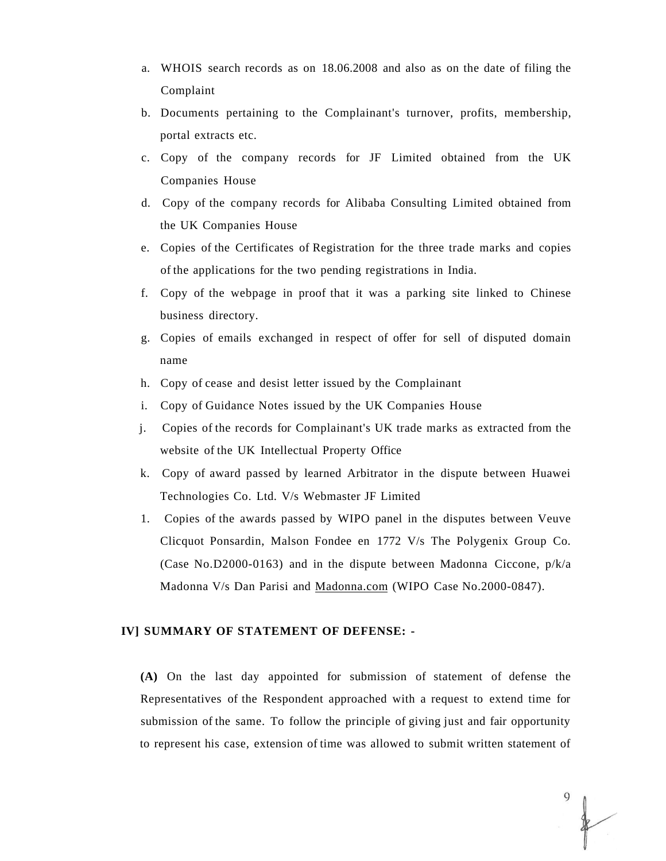- a. WHOIS search records as on 18.06.2008 and also as on the date of filing the Complaint
- b. Documents pertaining to the Complainant's turnover, profits, membership, portal extracts etc.
- c. Copy of the company records for JF Limited obtained from the UK Companies House
- d. Copy of the company records for Alibaba Consulting Limited obtained from the UK Companies House
- e. Copies of the Certificates of Registration for the three trade marks and copies of the applications for the two pending registrations in India.
- f. Copy of the webpage in proof that it was a parking site linked to Chinese business directory.
- g. Copies of emails exchanged in respect of offer for sell of disputed domain name
- h. Copy of cease and desist letter issued by the Complainant
- i. Copy of Guidance Notes issued by the UK Companies House
- j. Copies of the records for Complainant's UK trade marks as extracted from the website of the UK Intellectual Property Office
- k. Copy of award passed by learned Arbitrator in the dispute between Huawei Technologies Co. Ltd. V/s Webmaster JF Limited
- 1. Copies of the awards passed by WIPO panel in the disputes between Veuve Clicquot Ponsardin, Malson Fondee en 1772 V/s The Polygenix Group Co. (Case No.D2000-0163) and in the dispute between Madonna Ciccone, p/k/a Madonna V/s Dan Parisi and [Madonna.com \(](http://Madonna.com)WIPO Case No.2000-0847).

#### **IV] SUMMARY OF STATEMENT OF DEFENSE: -**

**(A)** On the last day appointed for submission of statement of defense the Representatives of the Respondent approached with a request to extend time for submission of the same. To follow the principle of giving just and fair opportunity to represent his case, extension of time was allowed to submit written statement of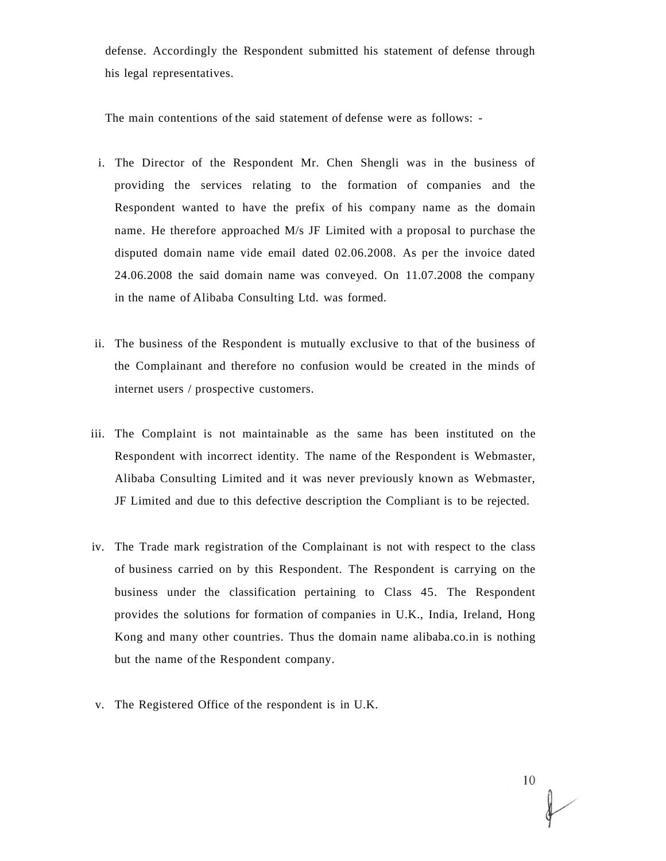defense. Accordingly the Respondent submitted his statement of defense through his legal representatives.

The main contentions of the said statement of defense were as follows: -

- i. The Director of the Respondent Mr. Chen Shengli was in the business of providing the services relating to the formation of companies and the Respondent wanted to have the prefix of his company name as the domain name. He therefore approached M/s JF Limited with a proposal to purchase the disputed domain name vide email dated 02.06.2008. As per the invoice dated 24.06.2008 the said domain name was conveyed. On 11.07.2008 the company in the name of Alibaba Consulting Ltd. was formed.
- ii. The business of the Respondent is mutually exclusive to that of the business of the Complainant and therefore no confusion would be created in the minds of internet users / prospective customers.
- iii. The Complaint is not maintainable as the same has been instituted on the Respondent with incorrect identity. The name of the Respondent is Webmaster, Alibaba Consulting Limited and it was never previously known as Webmaster, JF Limited and due to this defective description the Compliant is to be rejected.
- iv. The Trade mark registration of the Complainant is not with respect to the class of business carried on by this Respondent. The Respondent is carrying on the business under the classification pertaining to Class 45. The Respondent provides the solutions for formation of companies in U.K., India, Ireland, Hong Kong and many other countries. Thus the domain name alibaba.co.in is nothing but the name of the Respondent company.
- v. The Registered Office of the respondent is in U.K.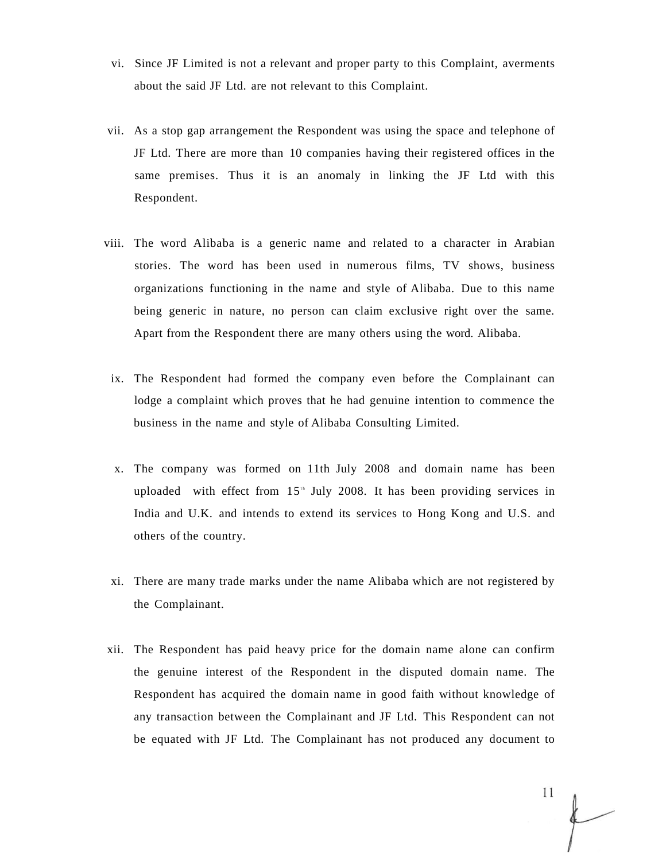- vi. Since JF Limited is not a relevant and proper party to this Complaint, averments about the said JF Ltd. are not relevant to this Complaint.
- vii. As a stop gap arrangement the Respondent was using the space and telephone of JF Ltd. There are more than 10 companies having their registered offices in the same premises. Thus it is an anomaly in linking the JF Ltd with this Respondent.
- viii. The word Alibaba is a generic name and related to a character in Arabian stories. The word has been used in numerous films, TV shows, business organizations functioning in the name and style of Alibaba. Due to this name being generic in nature, no person can claim exclusive right over the same. Apart from the Respondent there are many others using the word. Alibaba.
- ix. The Respondent had formed the company even before the Complainant can lodge a complaint which proves that he had genuine intention to commence the business in the name and style of Alibaba Consulting Limited.
- x. The company was formed on 11th July 2008 and domain name has been uploaded with effect from  $15<sup>th</sup>$  July 2008. It has been providing services in India and U.K. and intends to extend its services to Hong Kong and U.S. and others of the country.
- xi. There are many trade marks under the name Alibaba which are not registered by the Complainant.
- xii. The Respondent has paid heavy price for the domain name alone can confirm the genuine interest of the Respondent in the disputed domain name. The Respondent has acquired the domain name in good faith without knowledge of any transaction between the Complainant and JF Ltd. This Respondent can not be equated with JF Ltd. The Complainant has not produced any document to

11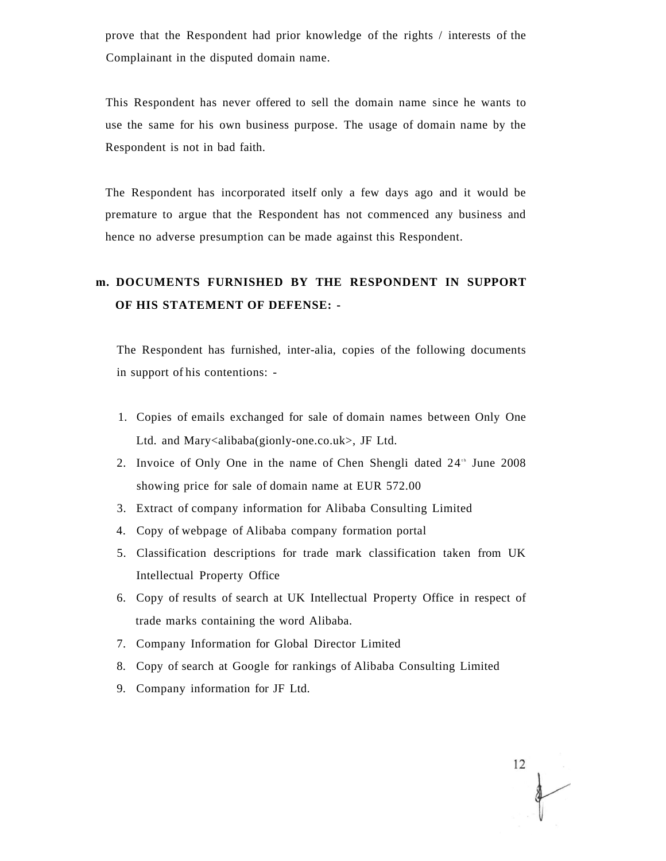prove that the Respondent had prior knowledge of the rights / interests of the Complainant in the disputed domain name.

This Respondent has never offered to sell the domain name since he wants to use the same for his own business purpose. The usage of domain name by the Respondent is not in bad faith.

The Respondent has incorporated itself only a few days ago and it would be premature to argue that the Respondent has not commenced any business and hence no adverse presumption can be made against this Respondent.

## **m. DOCUMENTS FURNISHED BY THE RESPONDENT IN SUPPORT OF HIS STATEMENT OF DEFENSE: -**

The Respondent has furnished, inter-alia, copies of the following documents in support of his contentions: -

- 1. Copies of emails exchanged for sale of domain names between Only One Ltd. and Mary<alibaba(gionly-one.co.uk>, JF Ltd.
- 2. Invoice of Only One in the name of Chen Shengli dated 24<sup>th</sup> June 2008 showing price for sale of domain name at EUR 572.00
- 3. Extract of company information for Alibaba Consulting Limited
- 4. Copy of webpage of Alibaba company formation portal
- 5. Classification descriptions for trade mark classification taken from UK Intellectual Property Office
- 6. Copy of results of search at UK Intellectual Property Office in respect of trade marks containing the word Alibaba.
- 7. Company Information for Global Director Limited
- 8. Copy of search at Google for rankings of Alibaba Consulting Limited
- 9. Company information for JF Ltd.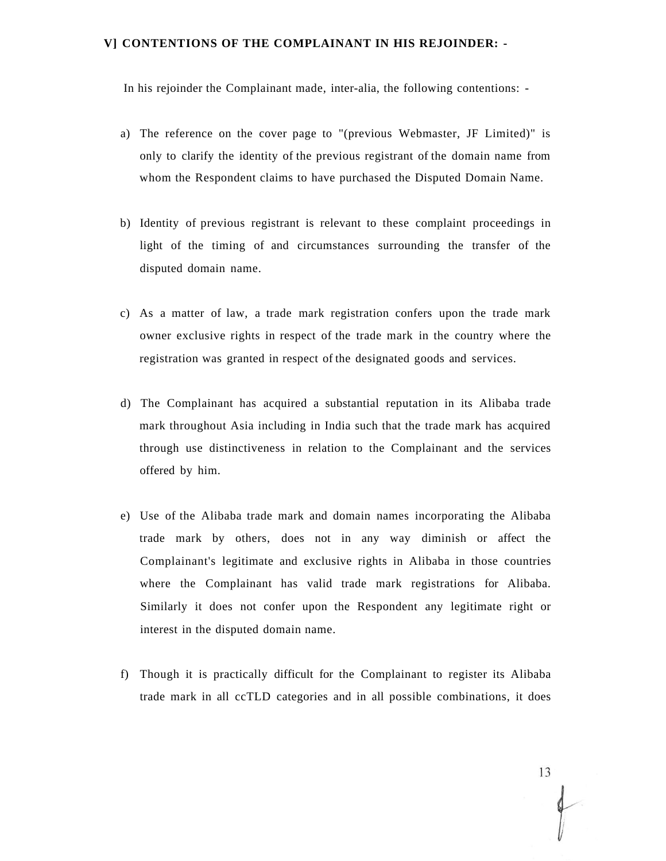#### **V] CONTENTIONS OF THE COMPLAINANT IN HIS REJOINDER: -**

In his rejoinder the Complainant made, inter-alia, the following contentions: -

- a) The reference on the cover page to "(previous Webmaster, JF Limited)" is only to clarify the identity of the previous registrant of the domain name from whom the Respondent claims to have purchased the Disputed Domain Name.
- b) Identity of previous registrant is relevant to these complaint proceedings in light of the timing of and circumstances surrounding the transfer of the disputed domain name.
- c) As a matter of law, a trade mark registration confers upon the trade mark owner exclusive rights in respect of the trade mark in the country where the registration was granted in respect of the designated goods and services.
- d) The Complainant has acquired a substantial reputation in its Alibaba trade mark throughout Asia including in India such that the trade mark has acquired through use distinctiveness in relation to the Complainant and the services offered by him.
- e) Use of the Alibaba trade mark and domain names incorporating the Alibaba trade mark by others, does not in any way diminish or affect the Complainant's legitimate and exclusive rights in Alibaba in those countries where the Complainant has valid trade mark registrations for Alibaba. Similarly it does not confer upon the Respondent any legitimate right or interest in the disputed domain name.
- f) Though it is practically difficult for the Complainant to register its Alibaba trade mark in all ccTLD categories and in all possible combinations, it does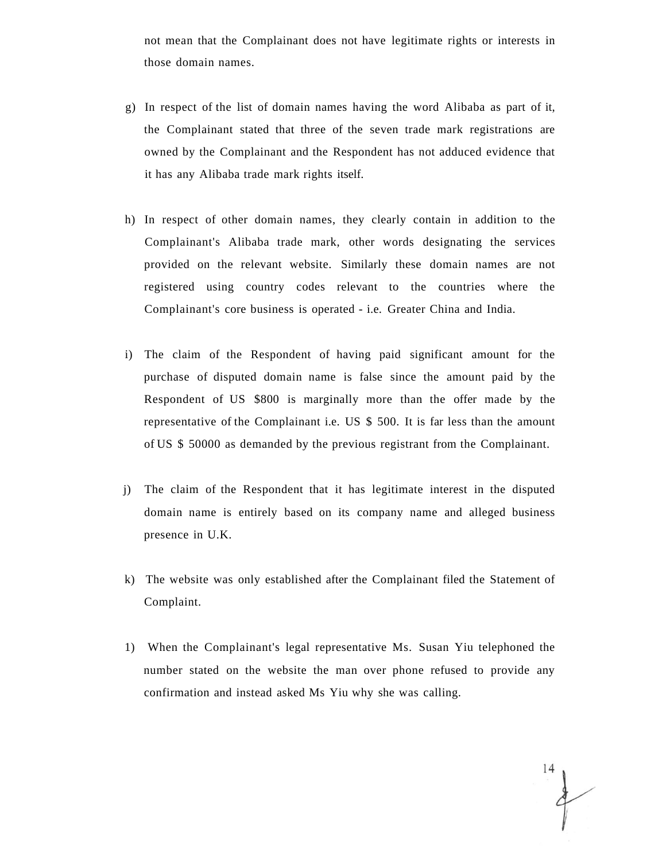not mean that the Complainant does not have legitimate rights or interests in those domain names.

- g) In respect of the list of domain names having the word Alibaba as part of it, the Complainant stated that three of the seven trade mark registrations are owned by the Complainant and the Respondent has not adduced evidence that it has any Alibaba trade mark rights itself.
- h) In respect of other domain names, they clearly contain in addition to the Complainant's Alibaba trade mark, other words designating the services provided on the relevant website. Similarly these domain names are not registered using country codes relevant to the countries where the Complainant's core business is operated - i.e. Greater China and India.
- i) The claim of the Respondent of having paid significant amount for the purchase of disputed domain name is false since the amount paid by the Respondent of US \$800 is marginally more than the offer made by the representative of the Complainant i.e. US \$ 500. It is far less than the amount of US \$ 50000 as demanded by the previous registrant from the Complainant.
- j) The claim of the Respondent that it has legitimate interest in the disputed domain name is entirely based on its company name and alleged business presence in U.K.
- k) The website was only established after the Complainant filed the Statement of Complaint.
- 1) When the Complainant's legal representative Ms. Susan Yiu telephoned the number stated on the website the man over phone refused to provide any confirmation and instead asked Ms Yiu why she was calling.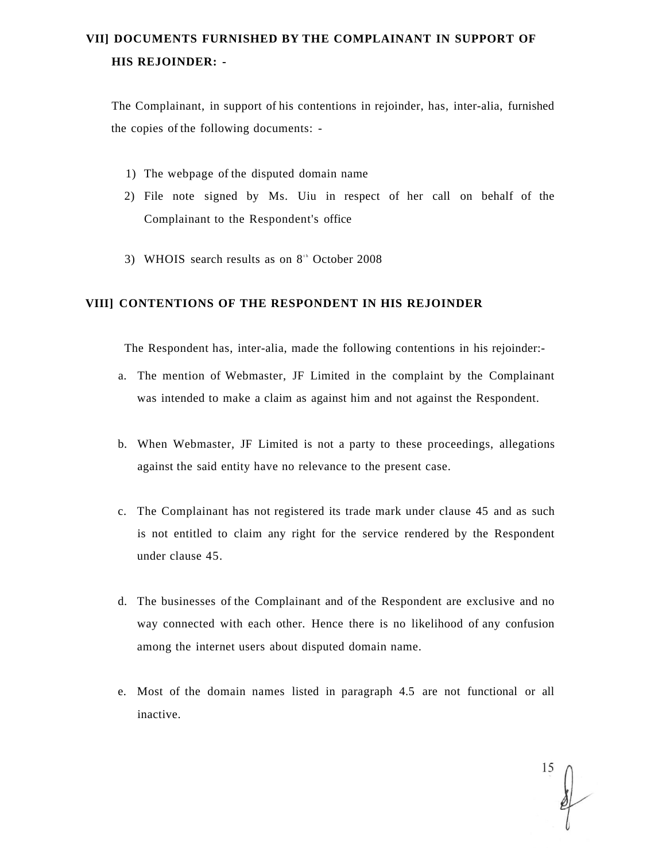## **VII] DOCUMENTS FURNISHED BY THE COMPLAINANT IN SUPPORT OF HIS REJOINDER: -**

The Complainant, in support of his contentions in rejoinder, has, inter-alia, furnished the copies of the following documents: -

- 1) The webpage of the disputed domain name
- 2) File note signed by Ms. Uiu in respect of her call on behalf of the Complainant to the Respondent's office
- 3) WHOIS search results as on  $8<sup>th</sup>$  October 2008

#### **VIII] CONTENTIONS OF THE RESPONDENT IN HIS REJOINDER**

The Respondent has, inter-alia, made the following contentions in his rejoinder:-

- a. The mention of Webmaster, JF Limited in the complaint by the Complainant was intended to make a claim as against him and not against the Respondent.
- b. When Webmaster, JF Limited is not a party to these proceedings, allegations against the said entity have no relevance to the present case.
- c. The Complainant has not registered its trade mark under clause 45 and as such is not entitled to claim any right for the service rendered by the Respondent under clause 45.
- d. The businesses of the Complainant and of the Respondent are exclusive and no way connected with each other. Hence there is no likelihood of any confusion among the internet users about disputed domain name.
- e. Most of the domain names listed in paragraph 4.5 are not functional or all inactive.

15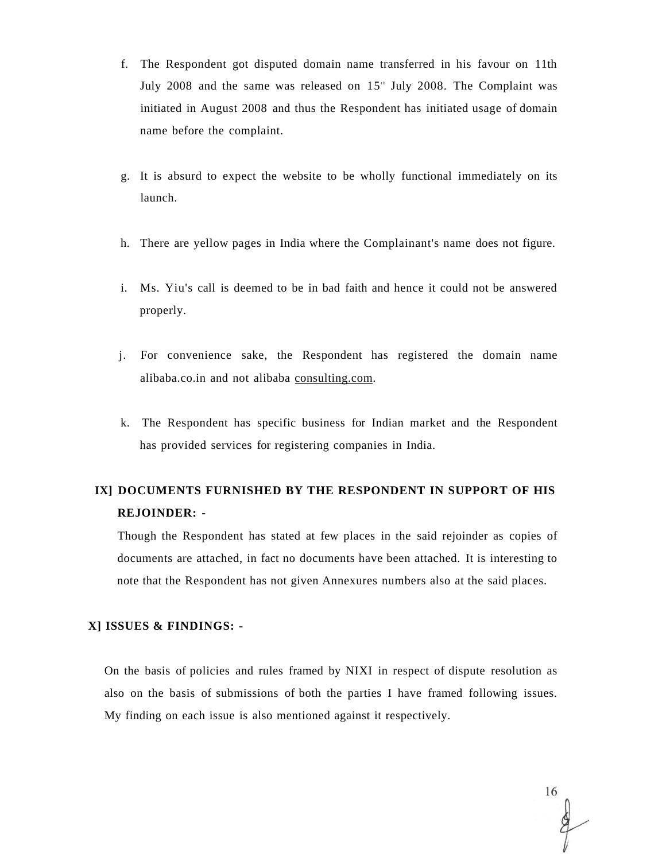- f. The Respondent got disputed domain name transferred in his favour on 11th July 2008 and the same was released on  $15<sup>th</sup>$  July 2008. The Complaint was initiated in August 2008 and thus the Respondent has initiated usage of domain name before the complaint.
- g. It is absurd to expect the website to be wholly functional immediately on its launch.
- h. There are yellow pages in India where the Complainant's name does not figure.
- i. Ms. Yiu's call is deemed to be in bad faith and hence it could not be answered properly.
- j. For convenience sake, the Respondent has registered the domain name alibaba.co.in and not alibaba [consulting.com.](http://consulting.com)
- k. The Respondent has specific business for Indian market and the Respondent has provided services for registering companies in India.

# **IX] DOCUMENTS FURNISHED BY THE RESPONDENT IN SUPPORT OF HIS REJOINDER: -**

Though the Respondent has stated at few places in the said rejoinder as copies of documents are attached, in fact no documents have been attached. It is interesting to note that the Respondent has not given Annexures numbers also at the said places.

#### **X] ISSUES & FINDINGS: -**

On the basis of policies and rules framed by NIXI in respect of dispute resolution as also on the basis of submissions of both the parties I have framed following issues. My finding on each issue is also mentioned against it respectively.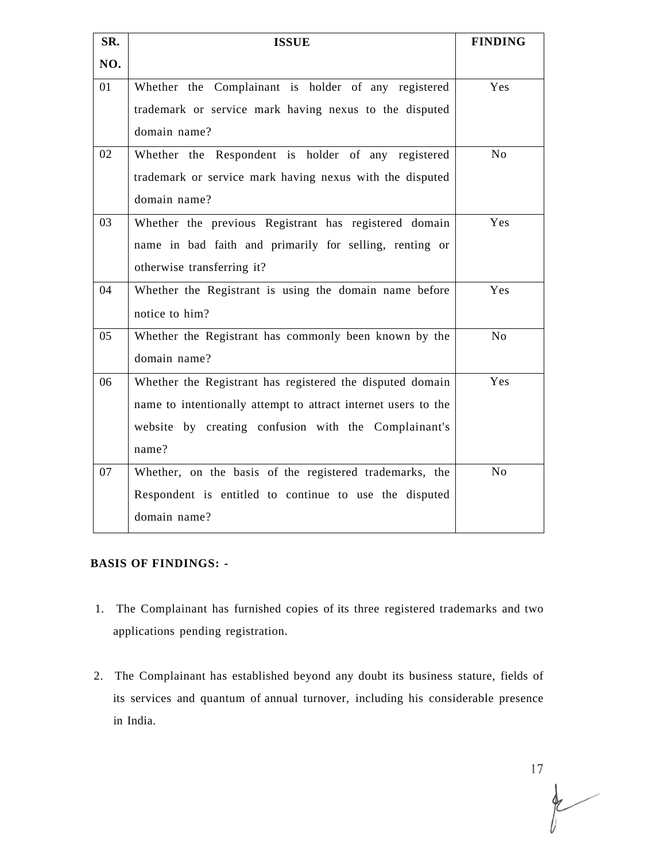| SR. | <b>ISSUE</b>                                                   | <b>FINDING</b> |
|-----|----------------------------------------------------------------|----------------|
| NO. |                                                                |                |
| 01  | Whether the Complainant is holder of any registered            | Yes            |
|     | trademark or service mark having nexus to the disputed         |                |
|     | domain name?                                                   |                |
| 02  | Whether the Respondent is holder of any registered             | N <sub>o</sub> |
|     | trademark or service mark having nexus with the disputed       |                |
|     | domain name?                                                   |                |
| 03  | Whether the previous Registrant has registered domain          | Yes            |
|     | name in bad faith and primarily for selling, renting or        |                |
|     | otherwise transferring it?                                     |                |
| 04  | Whether the Registrant is using the domain name before         | Yes            |
|     | notice to him?                                                 |                |
| 05  | Whether the Registrant has commonly been known by the          | N <sub>o</sub> |
|     | domain name?                                                   |                |
| 06  | Whether the Registrant has registered the disputed domain      | Yes            |
|     | name to intentionally attempt to attract internet users to the |                |
|     | website by creating confusion with the Complainant's           |                |
|     | name?                                                          |                |
| 07  | Whether, on the basis of the registered trademarks, the        | $\rm No$       |
|     | Respondent is entitled to continue to use the disputed         |                |
|     | domain name?                                                   |                |

### **BASIS OF FINDINGS: -**

- 1. The Complainant has furnished copies of its three registered trademarks and two applications pending registration.
- 2. The Complainant has established beyond any doubt its business stature, fields of its services and quantum of annual turnover, including his considerable presence in India.

 $\begin{matrix} 17 \\ 17 \end{matrix}$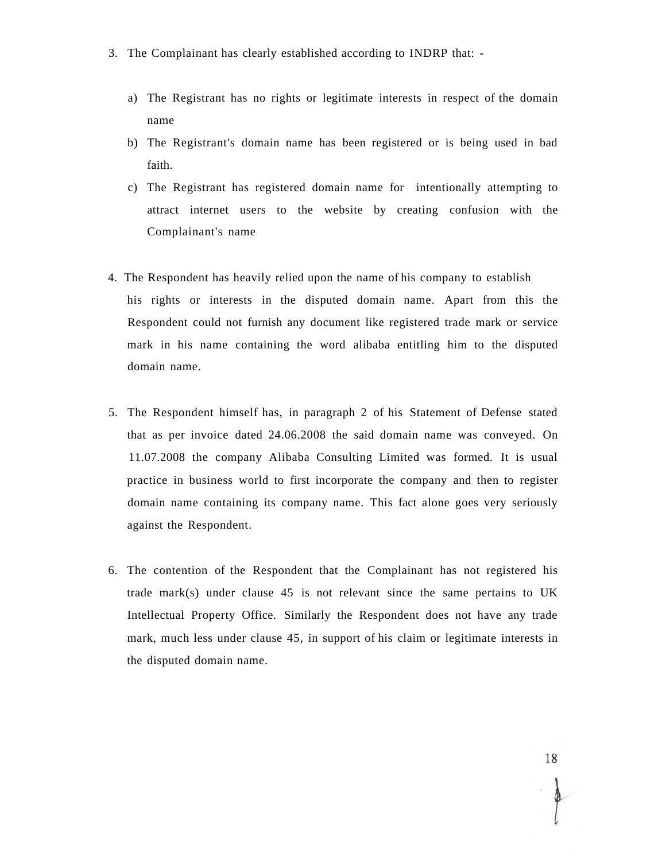- 3. The Complainant has clearly established according to INDRP that:
	- a) The Registrant has no rights or legitimate interests in respect of the domain name
	- b) The Registrant's domain name has been registered or is being used in bad faith.
	- c) The Registrant has registered domain name for intentionally attempting to attract internet users to the website by creating confusion with the Complainant's name
- 4. The Respondent has heavily relied upon the name of his company to establish his rights or interests in the disputed domain name. Apart from this the Respondent could not furnish any document like registered trade mark or service mark in his name containing the word alibaba entitling him to the disputed domain name.
- 5. The Respondent himself has, in paragraph 2 of his Statement of Defense stated that as per invoice dated 24.06.2008 the said domain name was conveyed. On 11.07.2008 the company Alibaba Consulting Limited was formed. It is usual practice in business world to first incorporate the company and then to register domain name containing its company name. This fact alone goes very seriously against the Respondent.
- 6. The contention of the Respondent that the Complainant has not registered his trade mark(s) under clause  $45$  is not relevant since the same pertains to UK Intellectual Property Office. Similarly the Respondent does not have any trade mark, much less under clause 45, in support of his claim or legitimate interests in the disputed domain name.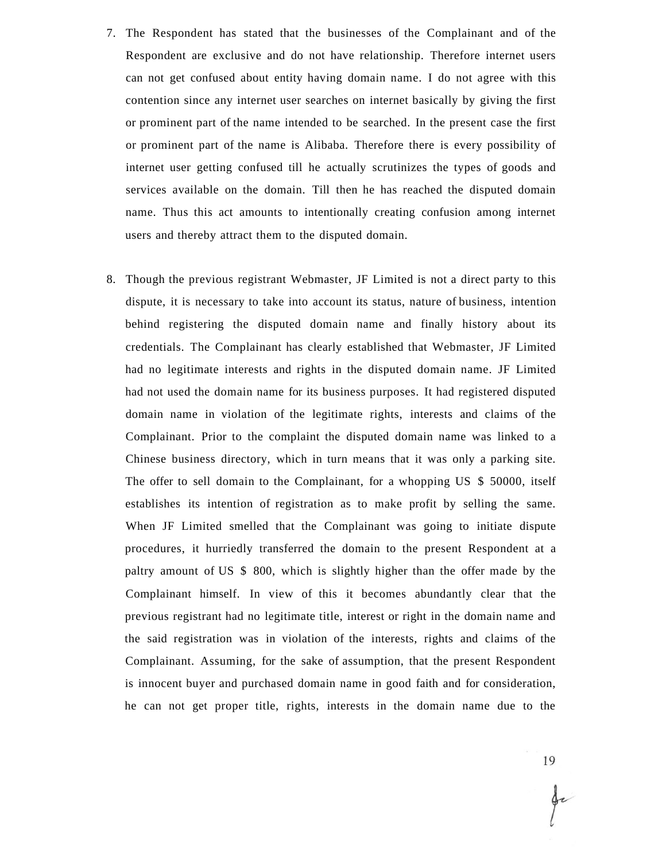- 7. The Respondent has stated that the businesses of the Complainant and of the Respondent are exclusive and do not have relationship. Therefore internet users can not get confused about entity having domain name. I do not agree with this contention since any internet user searches on internet basically by giving the first or prominent part of the name intended to be searched. In the present case the first or prominent part of the name is Alibaba. Therefore there is every possibility of internet user getting confused till he actually scrutinizes the types of goods and services available on the domain. Till then he has reached the disputed domain name. Thus this act amounts to intentionally creating confusion among internet users and thereby attract them to the disputed domain.
- 8. Though the previous registrant Webmaster, JF Limited is not a direct party to this dispute, it is necessary to take into account its status, nature of business, intention behind registering the disputed domain name and finally history about its credentials. The Complainant has clearly established that Webmaster, JF Limited had no legitimate interests and rights in the disputed domain name. JF Limited had not used the domain name for its business purposes. It had registered disputed domain name in violation of the legitimate rights, interests and claims of the Complainant. Prior to the complaint the disputed domain name was linked to a Chinese business directory, which in turn means that it was only a parking site. The offer to sell domain to the Complainant, for a whopping US \$ 50000, itself establishes its intention of registration as to make profit by selling the same. When JF Limited smelled that the Complainant was going to initiate dispute procedures, it hurriedly transferred the domain to the present Respondent at a paltry amount of US \$ 800, which is slightly higher than the offer made by the Complainant himself. In view of this it becomes abundantly clear that the previous registrant had no legitimate title, interest or right in the domain name and the said registration was in violation of the interests, rights and claims of the Complainant. Assuming, for the sake of assumption, that the present Respondent is innocent buyer and purchased domain name in good faith and for consideration, he can not get proper title, rights, interests in the domain name due to the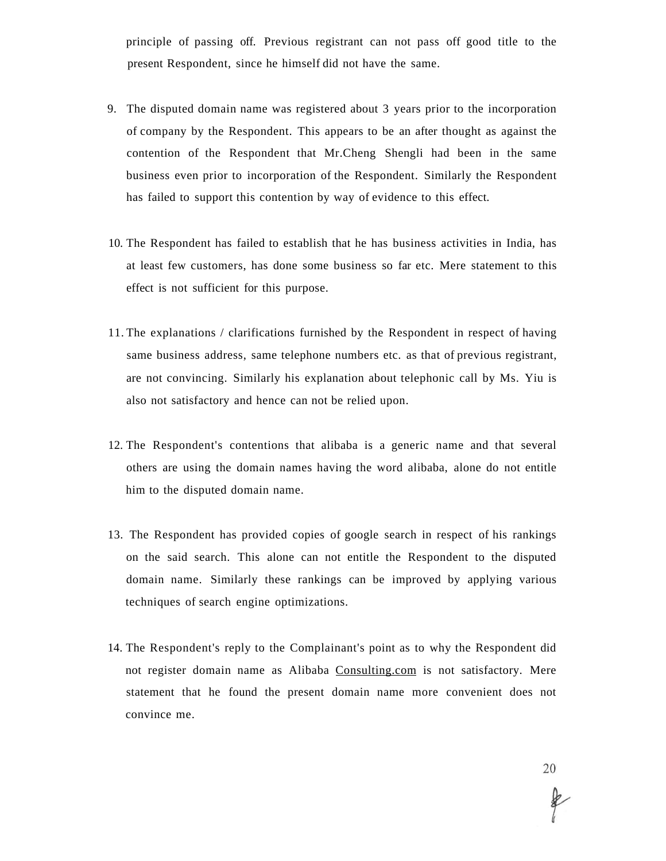principle of passing off. Previous registrant can not pass off good title to the present Respondent, since he himself did not have the same.

- 9. The disputed domain name was registered about 3 years prior to the incorporation of company by the Respondent. This appears to be an after thought as against the contention of the Respondent that Mr.Cheng Shengli had been in the same business even prior to incorporation of the Respondent. Similarly the Respondent has failed to support this contention by way of evidence to this effect.
- 10. The Respondent has failed to establish that he has business activities in India, has at least few customers, has done some business so far etc. Mere statement to this effect is not sufficient for this purpose.
- 11. The explanations / clarifications furnished by the Respondent in respect of having same business address, same telephone numbers etc. as that of previous registrant, are not convincing. Similarly his explanation about telephonic call by Ms. Yiu is also not satisfactory and hence can not be relied upon.
- 12. The Respondent's contentions that alibaba is a generic name and that several others are using the domain names having the word alibaba, alone do not entitle him to the disputed domain name.
- 13. The Respondent has provided copies of google search in respect of his rankings on the said search. This alone can not entitle the Respondent to the disputed domain name. Similarly these rankings can be improved by applying various techniques of search engine optimizations.
- 14. The Respondent's reply to the Complainant's point as to why the Respondent did not register domain name as Alibaba [Consulting.com](http://Consulting.com) is not satisfactory. Mere statement that he found the present domain name more convenient does not convince me.